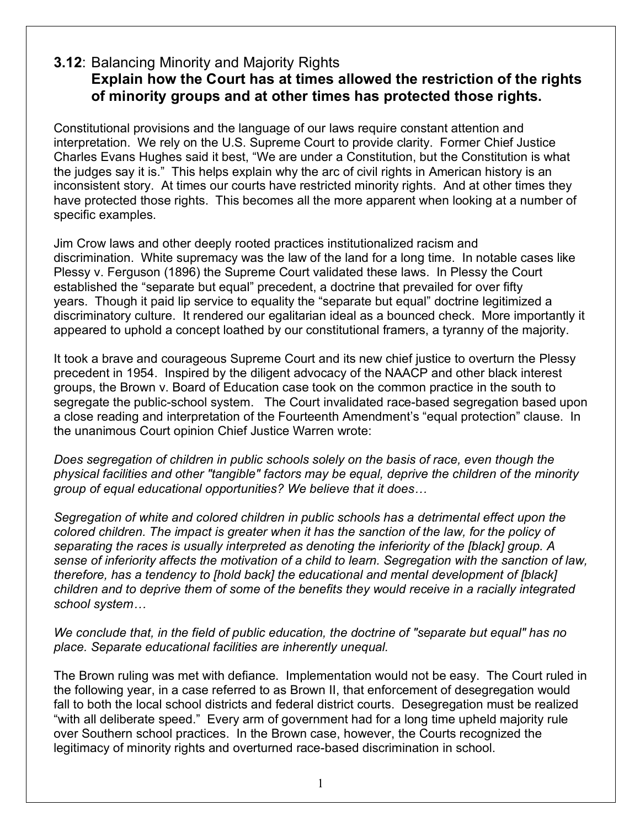## **3.12**: Balancing Minority and Majority Rights **Explain how the Court has at times allowed the restriction of the rights of minority groups and at other times has protected those rights.**

Constitutional provisions and the language of our laws require constant attention and interpretation. We rely on the U.S. Supreme Court to provide clarity. Former Chief Justice Charles Evans Hughes said it best, "We are under a Constitution, but the Constitution is what the judges say it is." This helps explain why the arc of civil rights in American history is an inconsistent story. At times our courts have restricted minority rights. And at other times they have protected those rights. This becomes all the more apparent when looking at a number of specific examples.

Jim Crow laws and other deeply rooted practices institutionalized racism and discrimination. White supremacy was the law of the land for a long time. In notable cases like Plessy v. Ferguson (1896) the Supreme Court validated these laws. In Plessy the Court established the "separate but equal" precedent, a doctrine that prevailed for over fifty years. Though it paid lip service to equality the "separate but equal" doctrine legitimized a discriminatory culture. It rendered our egalitarian ideal as a bounced check. More importantly it appeared to uphold a concept loathed by our constitutional framers, a tyranny of the majority.

It took a brave and courageous Supreme Court and its new chief justice to overturn the Plessy precedent in 1954. Inspired by the diligent advocacy of the NAACP and other black interest groups, the Brown v. Board of Education case took on the common practice in the south to segregate the public-school system. The Court invalidated race-based segregation based upon a close reading and interpretation of the Fourteenth Amendment's "equal protection" clause. In the unanimous Court opinion Chief Justice Warren wrote:

*Does segregation of children in public schools solely on the basis of race, even though the physical facilities and other "tangible" factors may be equal, deprive the children of the minority group of equal educational opportunities? We believe that it does…*

*Segregation of white and colored children in public schools has a detrimental effect upon the colored children. The impact is greater when it has the sanction of the law, for the policy of separating the races is usually interpreted as denoting the inferiority of the [black] group. A sense of inferiority affects the motivation of a child to learn. Segregation with the sanction of law, therefore, has a tendency to [hold back] the educational and mental development of [black] children and to deprive them of some of the benefits they would receive in a racially integrated school system…*

*We conclude that, in the field of public education, the doctrine of "separate but equal" has no place. Separate educational facilities are inherently unequal.*

The Brown ruling was met with defiance. Implementation would not be easy. The Court ruled in the following year, in a case referred to as Brown II, that enforcement of desegregation would fall to both the local school districts and federal district courts. Desegregation must be realized "with all deliberate speed." Every arm of government had for a long time upheld majority rule over Southern school practices. In the Brown case, however, the Courts recognized the legitimacy of minority rights and overturned race-based discrimination in school.